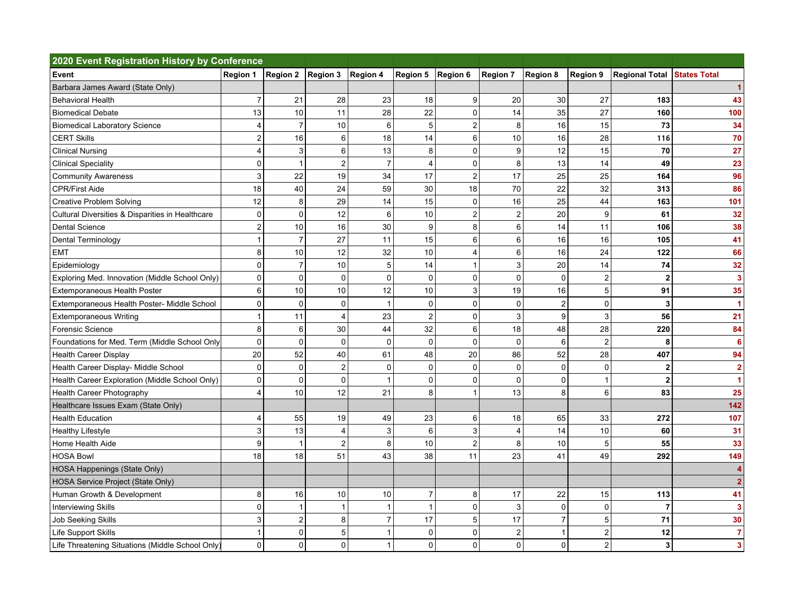| 2020 Event Registration History by Conference    |                 |                         |                                |                           |                   |                |                |                |                 |                               |                      |
|--------------------------------------------------|-----------------|-------------------------|--------------------------------|---------------------------|-------------------|----------------|----------------|----------------|-----------------|-------------------------------|----------------------|
| Event                                            | <b>Region 1</b> |                         | Region 2   Region 3   Region 4 |                           | Region 5 Region 6 |                | Region 7       | Region 8       | <b>Region 9</b> | Regional Total   States Total |                      |
| Barbara James Award (State Only)                 |                 |                         |                                |                           |                   |                |                |                |                 |                               |                      |
| <b>Behavioral Health</b>                         | $\overline{7}$  | 21                      | 28                             | 23                        | 18                | 9              | 20             | 30             | 27              | 183                           | 43                   |
| <b>Biomedical Debate</b>                         | 13              | 10                      | 11                             | 28                        | 22                | $\Omega$       | 14             | 35             | 27              | 160                           | 100                  |
| <b>Biomedical Laboratory Science</b>             | 4               | $\overline{7}$          | 10                             | 6                         | 5                 | $\overline{2}$ | 8              | 16             | 15              | 73                            | 34                   |
| <b>CERT Skills</b>                               | $\mathbf 2$     | 16                      | 6                              | 18                        | 14                | 6              | 10             | 16             | 28              | 116                           | 70                   |
| <b>Clinical Nursing</b>                          | 4               | 3                       | 6                              | 13                        | 8                 | 0              | 9              | 12             | 15              | 70                            | 27                   |
| <b>Clinical Speciality</b>                       | $\mathbf 0$     | $\mathbf{1}$            | $\overline{2}$                 | $\overline{7}$            | $\overline{4}$    | $\mathbf{0}$   | 8              | 13             | 14              | 49                            | 23                   |
| <b>Community Awareness</b>                       | $\mathsf 3$     | 22                      | 19                             | 34                        | 17                | $\overline{2}$ | 17             | 25             | 25              | 164                           | 96                   |
| <b>CPR/First Aide</b>                            | 18              | 40                      | 24                             | 59                        | 30                | 18             | 70             | 22             | 32              | 313                           | 86                   |
| <b>Creative Problem Solving</b>                  | 12              | 8                       | 29                             | 14                        | 15                | $\mathbf{0}$   | 16             | 25             | 44              | 163                           | 101                  |
| Cultural Diversities & Disparities in Healthcare | $\mathbf 0$     | 0                       | 12                             | 6                         | 10                | $\overline{2}$ | $\overline{2}$ | 20             | 9               | 61                            | 32                   |
| <b>Dental Science</b>                            | $\overline{c}$  | 10                      | 16                             | 30                        | 9                 | 8              | 6              | 14             | 11              | 106                           | 38                   |
| Dental Terminology                               | $\mathbf{1}$    | $\overline{7}$          | 27                             | 11                        | 15                | 6              | 6              | 16             | 16              | 105                           | 41                   |
| <b>EMT</b>                                       | 8               | 10                      | 12                             | 32                        | 10                | 4              | 6              | 16             | 24              | 122                           | 66                   |
| Epidemiology                                     | 0               | $\overline{7}$          | 10                             | $\sqrt{5}$                | 14                |                | 3              | 20             | 14              | 74                            | 32                   |
| Exploring Med. Innovation (Middle School Only)   | $\mathbf 0$     | 0                       | $\mathbf 0$                    | 0                         | 0                 | $\mathbf 0$    | 0              | $\mathbf 0$    | 2               | $\mathbf 2$                   | 3                    |
| <b>Extemporaneous Health Poster</b>              | 6               | 10                      | 10                             | 12                        | 10                | 3              | 19             | 16             | 5 <sup>1</sup>  | 91                            | 35                   |
| Extemporaneous Health Poster- Middle School      | 0               | 0                       | $\mathbf 0$                    | $\mathbf{1}$              | $\mathbf 0$       | $\Omega$       | $\mathbf 0$    | $\overline{2}$ | $\mathbf 0$     | 3                             | $\blacktriangleleft$ |
| <b>Extemporaneous Writing</b>                    | $\mathbf{1}$    | 11                      | $\overline{4}$                 | 23                        | $\overline{c}$    | $\Omega$       | 3              | 9              | 3               | 56                            | 21                   |
| Forensic Science                                 | 8               | 6                       | 30                             | 44                        | 32                | 6              | 18             | 48             | 28              | 220                           | 84                   |
| Foundations for Med. Term (Middle School Only    | $\mathbf 0$     | 0                       | $\mathbf{0}$                   | $\mathbf 0$               | $\mathbf 0$       | $\Omega$       | $\mathbf 0$    | 6              | $\overline{2}$  | 8                             | 6                    |
| <b>Health Career Display</b>                     | 20              | 52                      | 40                             | 61                        | 48                | 20             | 86             | 52             | 28              | 407                           | 94                   |
| Health Career Display- Middle School             | $\mathbf 0$     | 0                       | $\overline{c}$                 | $\mathbf 0$               | $\pmb{0}$         | $\Omega$       | $\mathbf 0$    | $\mathbf 0$    | $\Omega$        | $\mathbf 2$                   | $\overline{2}$       |
| Health Career Exploration (Middle School Only)   | 0               | 0                       | $\mathbf 0$                    | $\mathbf{1}$              | 0                 | 0              | $\mathbf 0$    | 0              |                 | $\overline{2}$                | $\blacktriangleleft$ |
| Health Career Photography                        | 4               | 10                      | 12                             | 21                        | 8                 | 1              | 13             | 8              | 6               | 83                            | 25                   |
| Healthcare Issues Exam (State Only)              |                 |                         |                                |                           |                   |                |                |                |                 |                               | 142                  |
| <b>Health Education</b>                          | 4               | 55                      | 19                             | 49                        | 23                | 6              | 18             | 65             | 33              | 272                           | 107                  |
| <b>Healthy Lifestyle</b>                         | 3               | 13                      | $\overline{4}$                 | $\ensuremath{\mathsf{3}}$ | 6                 | 3              | 4              | 14             | 10              | 60                            | 31                   |
| Home Health Aide                                 | 9               | 1                       | $\overline{\mathbf{c}}$        | 8                         | $10$              | $\overline{2}$ | 8              | 10             | 5               | 55                            | 33                   |
| <b>HOSA Bowl</b>                                 | 18              | 18                      | 51                             | 43                        | 38                | 11             | 23             | 41             | 49              | 292                           | 149                  |
| HOSA Happenings (State Only)                     |                 |                         |                                |                           |                   |                |                |                |                 |                               |                      |
| HOSA Service Project (State Only)                |                 |                         |                                |                           |                   |                |                |                |                 |                               |                      |
| Human Growth & Development                       | 8               | 16                      | 10                             | 10                        | $\overline{7}$    | 8              | 17             | 22             | 15              | 113                           | 41                   |
| <b>Interviewing Skills</b>                       | $\mathbf 0$     | 1                       | 1                              | $\mathbf{1}$              | $\mathbf{1}$      | $\Omega$       | 3              | $\mathbf 0$    | $\mathbf 0$     | $\overline{7}$                | 3                    |
| <b>Job Seeking Skills</b>                        | 3               | $\overline{\mathbf{c}}$ | 8                              | $\overline{7}$            | 17                | 5              | 17             | $\overline{7}$ | 5               | 71                            | 30                   |
| Life Support Skills                              | $\mathbf{1}$    | 0                       | 5                              | $\mathbf{1}$              | $\pmb{0}$         | $\mathbf 0$    | $\overline{c}$ | 1              | $\overline{2}$  | 12                            | $\overline{7}$       |
| Life Threatening Situations (Middle School Only) | 0               | 0                       | $\mathbf 0$                    | $\mathbf{1}$              | 0                 | 0              | $\mathbf 0$    | 0              | $\overline{2}$  | 3                             | 3                    |